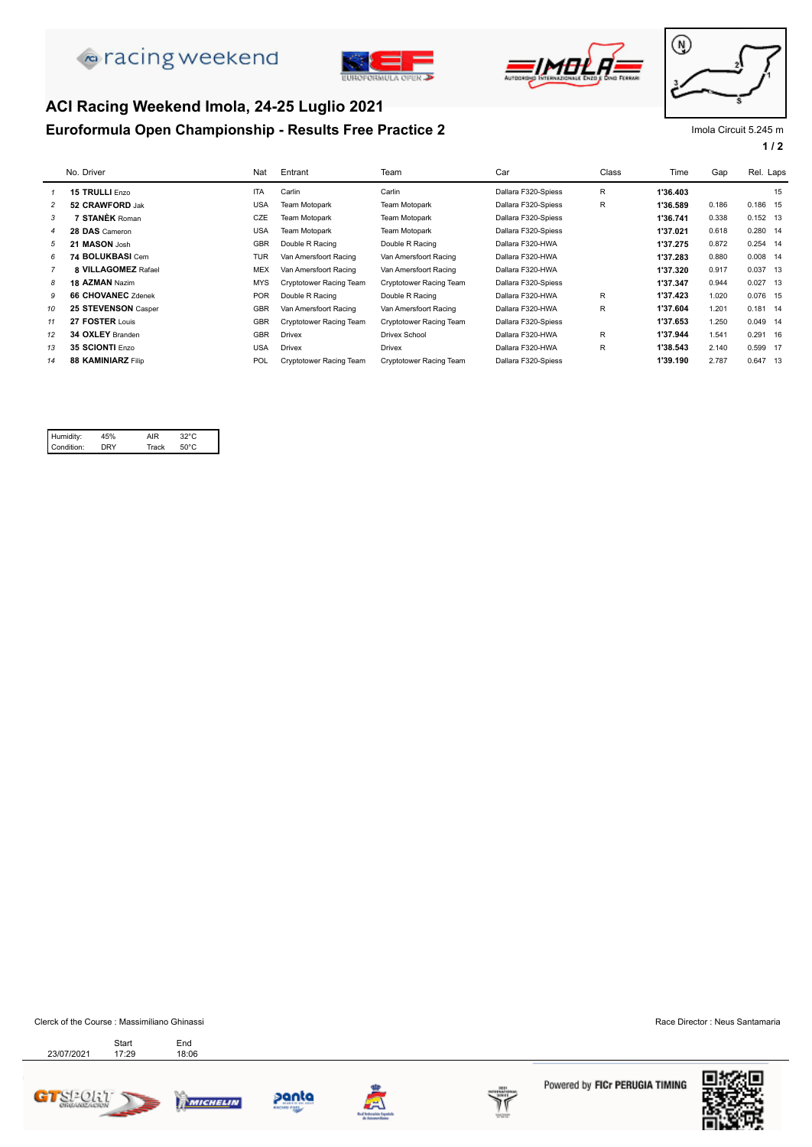

**ACI Racing Weekend Imola, 24-25 Luglio 2021**





# ⊛

#### **Euroformula Open Championship - Results Free Practice 2** Impression of the Umola Circuit 5.245 m

|  | 1 | $\prime$ | 2 |
|--|---|----------|---|
|  |   |          |   |

|                | No. Driver                | Nat        | Entrant                 | Team                    | Car                 | Class | Time     | Gap   | Rel. Laps  |
|----------------|---------------------------|------------|-------------------------|-------------------------|---------------------|-------|----------|-------|------------|
|                | 15 TRULLI Enzo            | <b>ITA</b> | Carlin                  | Carlin                  | Dallara F320-Spiess | R     | 1'36.403 |       | 15         |
| $\overline{c}$ | 52 CRAWFORD Jak           | <b>USA</b> | Team Motopark           | Team Motopark           | Dallara F320-Spiess | R     | 1'36.589 | 0.186 | 0.186 15   |
| 3              | <b>7 STANÈK Roman</b>     | CZE        | Team Motopark           | Team Motopark           | Dallara F320-Spiess |       | 1'36.741 | 0.338 | $0.152$ 13 |
| 4              | 28 DAS Cameron            | <b>USA</b> | Team Motopark           | Team Motopark           | Dallara F320-Spiess |       | 1'37.021 | 0.618 | $0.280$ 14 |
| 5              | 21 MASON Josh             | <b>GBR</b> | Double R Racing         | Double R Racing         | Dallara F320-HWA    |       | 1'37.275 | 0.872 | 0.254 14   |
| 6              | 74 BOLUKBASI Cem          | <b>TUR</b> | Van Amersfoort Racing   | Van Amersfoort Racing   | Dallara F320-HWA    |       | 1'37.283 | 0.880 | $0.008$ 14 |
|                | 8 VILLAGOMEZ Rafael       | MEX        | Van Amersfoort Racing   | Van Amersfoort Racing   | Dallara F320-HWA    |       | 1'37.320 | 0.917 | 0.037 13   |
| 8              | 18 AZMAN Nazim            | MYS        | Cryptotower Racing Team | Cryptotower Racing Team | Dallara F320-Spiess |       | 1'37.347 | 0.944 | $0.027$ 13 |
| 9              | <b>66 CHOVANEC Zdenek</b> | <b>POR</b> | Double R Racing         | Double R Racing         | Dallara F320-HWA    | R.    | 1'37.423 | 1.020 | 0.076 15   |
| 10             | 25 STEVENSON Casper       | <b>GBR</b> | Van Amersfoort Racing   | Van Amersfoort Racing   | Dallara F320-HWA    | R     | 1'37.604 | 1.201 | $0.181$ 14 |
| 11             | 27 FOSTER Louis           | <b>GBR</b> | Cryptotower Racing Team | Cryptotower Racing Team | Dallara F320-Spiess |       | 1'37.653 | 1.250 | $0.049$ 14 |
| 12             | 34 OXLEY Branden          | <b>GBR</b> | <b>Drivex</b>           | Drivex School           | Dallara F320-HWA    | R     | 1'37.944 | 1.541 | $0.291$ 16 |
| 13             | 35 SCIONTI Enzo           | <b>USA</b> | <b>Drivex</b>           | <b>Drivex</b>           | Dallara F320-HWA    | R     | 1'38.543 | 2.140 | 0.599 17   |
| 14             | 88 KAMINIARZ Filip        | POL        | Cryptotower Racing Team | Cryptotower Racing Team | Dallara F320-Spiess |       | 1'39.190 | 2.787 | 0.647 13   |

| Humidity:  | IR   |      |  |
|------------|------|------|--|
| Condition: | ⊶ack | ร∩°∩ |  |

Clerck of the Course : Massimiliano Ghinassi Race Director : Neus Santamaria Start<br>17:29

Start End<br>23/07/2021 17:29 18:06







panta



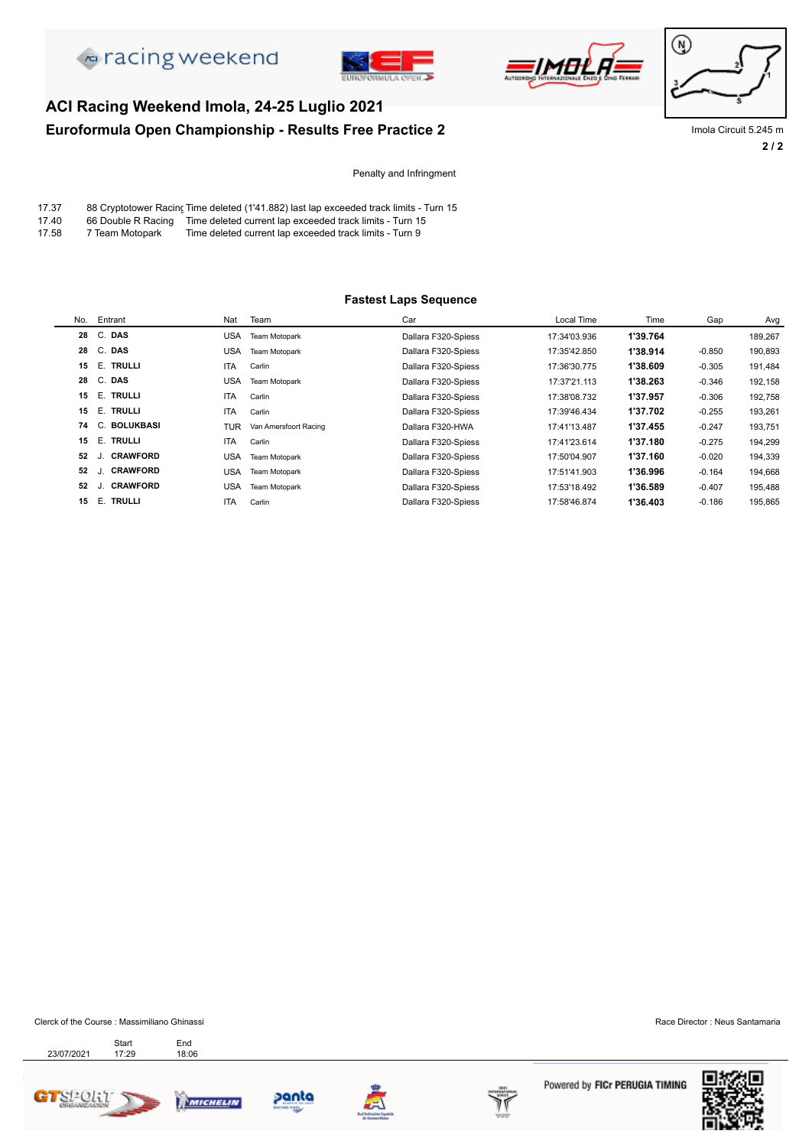







**2 / 2 Euroformula Open Championship - Results Free Practice 2** Impress and the Umola Circuit 5.245 m

Penalty and Infringment

| 17.37 |  | 88 Cryptotower Racing Time deleted (1'41.882) last lap exceeded track limits - Turn 15 |
|-------|--|----------------------------------------------------------------------------------------|
|-------|--|----------------------------------------------------------------------------------------|

17.40 66 Double R Racing Time deleted current lap exceeded track limits - Turn 15<br>17.58 7 Team Motopark Time deleted current lap exceeded track limits - Turn 9

**ACI Racing Weekend Imola, 24-25 Luglio 2021**

Time deleted current lap exceeded track limits - Turn 9

#### **Fastest Laps Sequence**

| No. | Entrant                    | Nat        | Team                  | Car                 | Local Time   | Time     | Gap      | Avg     |
|-----|----------------------------|------------|-----------------------|---------------------|--------------|----------|----------|---------|
| 28  | C. DAS                     | USA        | Team Motopark         | Dallara F320-Spiess | 17:34'03.936 | 1'39.764 |          | 189,267 |
| 28  | C. DAS                     | USA        | Team Motopark         | Dallara F320-Spiess | 17:35'42.850 | 1'38.914 | $-0.850$ | 190,893 |
| 15  | E. TRULLI                  | <b>ITA</b> | Carlin                | Dallara F320-Spiess | 17:36'30.775 | 1'38.609 | $-0.305$ | 191,484 |
| 28  | C. DAS                     | <b>USA</b> | Team Motopark         | Dallara F320-Spiess | 17:37'21.113 | 1'38.263 | $-0.346$ | 192,158 |
| 15  | E. TRULLI                  | <b>ITA</b> | Carlin                | Dallara F320-Spiess | 17:38'08.732 | 1'37.957 | $-0.306$ | 192,758 |
| 15  | E. TRULLI                  | <b>ITA</b> | Carlin                | Dallara F320-Spiess | 17:39'46.434 | 1'37.702 | $-0.255$ | 193,261 |
| 74  | C. BOLUKBASI               | TUR        | Van Amersfoort Racing | Dallara F320-HWA    | 17:41'13.487 | 1'37.455 | $-0.247$ | 193,751 |
| 15  | E. TRULLI                  | <b>ITA</b> | Carlin                | Dallara F320-Spiess | 17:41'23.614 | 1'37.180 | $-0.275$ | 194,299 |
| 52  | <b>CRAWFORD</b><br>J.      | USA        | Team Motopark         | Dallara F320-Spiess | 17:50'04.907 | 1'37.160 | $-0.020$ | 194,339 |
| 52  | <b>CRAWFORD</b>            | <b>USA</b> | Team Motopark         | Dallara F320-Spiess | 17:51'41.903 | 1'36.996 | $-0.164$ | 194,668 |
| 52  | <b>CRAWFORD</b><br>$\cdot$ | USA        | Team Motopark         | Dallara F320-Spiess | 17:53'18.492 | 1'36.589 | $-0.407$ | 195,488 |
| 15  | E.<br><b>TRULLI</b>        | <b>ITA</b> | Carlin                | Dallara F320-Spiess | 17:58'46.874 | 1'36.403 | $-0.186$ | 195,865 |

Clerck of the Course : Massimiliano Ghinassi Race Director : Neus Santamaria

23/07/2021 17:29 18:06 Start End<br>17:29 18:0







panta



Powered by FICr PERUGIA TIMING

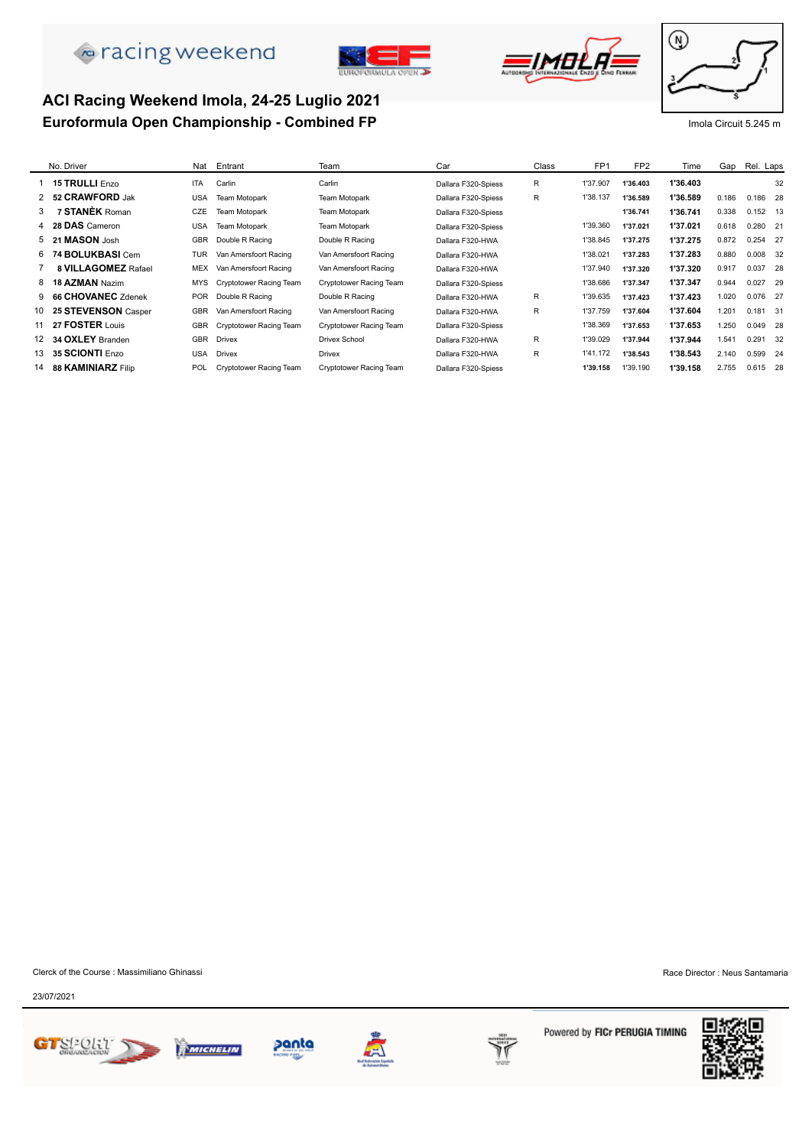# **A** racing weekend





### **Euroformula Open Championship - Combined FP Imola Circuit 5.245 m** Imola Circuit 5.245 m **ACI Racing Weekend Imola, 24-25 Luglio 2021**



|    | No. Driver                | Nat        | Entrant                        | Team                    | Car                 | Class | FP <sub>1</sub> | FP <sub>2</sub> | Time     | Gap   | Rel. Laps  |    |
|----|---------------------------|------------|--------------------------------|-------------------------|---------------------|-------|-----------------|-----------------|----------|-------|------------|----|
|    | 15 TRULLI Enzo            | <b>ITA</b> | Carlin                         | Carlin                  | Dallara F320-Spiess | R     | 1'37.907        | 1'36.403        | 1'36.403 |       |            | 32 |
|    | 2 52 CRAWFORD Jak         | <b>USA</b> | Team Motopark                  | Team Motopark           | Dallara F320-Spiess | R     | 1'38.137        | 1'36.589        | 1'36.589 | 0.186 | 0.186 28   |    |
| 3  | 7 STANÈK Roman            | CZE        | <b>Team Motopark</b>           | Team Motopark           | Dallara F320-Spiess |       |                 | 1'36.741        | 1'36.741 | 0.338 | $0.152$ 13 |    |
|    | 4 28 DAS Cameron          | USA        | Team Motopark                  | Team Motopark           | Dallara F320-Spiess |       | 1'39.360        | 1'37.021        | 1'37.021 | 0.618 | $0.280$ 21 |    |
|    | 5 21 MASON Josh           | GBR        | Double R Racing                | Double R Racing         | Dallara F320-HWA    |       | 1'38.845        | 1'37.275        | 1'37.275 | 0.872 | 0.254 27   |    |
|    | 6 74 BOLUKBASI Cem        | <b>TUR</b> | Van Amersfoort Racing          | Van Amersfoort Racing   | Dallara F320-HWA    |       | 1'38.021        | 1'37.283        | 1'37.283 | 0.880 | 0.008 32   |    |
|    | 8 VILLAGOMEZ Rafael       | MEX        | Van Amersfoort Racing          | Van Amersfoort Racing   | Dallara F320-HWA    |       | 1'37.940        | 1'37.320        | 1'37.320 | 0.917 | 0.037 28   |    |
|    | 8 18 AZMAN Nazim          | MYS        | Cryptotower Racing Team        | Cryptotower Racing Team | Dallara F320-Spiess |       | 1'38.686        | 1'37.347        | 1'37.347 | 0.944 | $0.027$ 29 |    |
|    | 9 66 CHOVANEC Zdenek      | <b>POR</b> | Double R Racing                | Double R Racing         | Dallara F320-HWA    | R.    | 1'39.635        | 1'37.423        | 1'37.423 | 1.020 | 0.076 27   |    |
| 10 | 25 STEVENSON Casper       | <b>GBR</b> | Van Amersfoort Racing          | Van Amersfoort Racing   | Dallara F320-HWA    | R.    | 1'37.759        | 1'37.604        | 1'37.604 | 1.201 | 0.181 31   |    |
|    | 11 27 <b>FOSTER</b> Louis | <b>GBR</b> | <b>Cryptotower Racing Team</b> | Cryptotower Racing Team | Dallara F320-Spiess |       | 1'38.369        | 1'37.653        | 1'37.653 | 1.250 | 0.049 28   |    |
| 12 | 34 OXLEY Branden          | <b>GBR</b> | <b>Drivex</b>                  | <b>Drivex School</b>    | Dallara F320-HWA    | R     | 1'39.029        | 1'37.944        | 1'37.944 | 1.541 | 0.291      | 32 |
| 13 | 35 SCIONTI Enzo           | <b>USA</b> | <b>Drivex</b>                  | <b>Drivex</b>           | Dallara F320-HWA    | R.    | 1'41.172        | 1'38.543        | 1'38.543 | 2.140 | 0.599 24   |    |
| 14 | 88 KAMINIARZ Filip        | POL        | Cryptotower Racing Team        | Cryptotower Racing Team | Dallara F320-Spiess |       | 1'39.158        | 1'39.190        | 1'39.158 | 2.755 | 0.615 28   |    |
|    |                           |            |                                |                         |                     |       |                 |                 |          |       |            |    |

Clerck of the Course : Massimiliano Ghinassi **Race Director** : Neus Santamaria

23/07/2021







panta



Powered by FICr PERUGIA TIMING

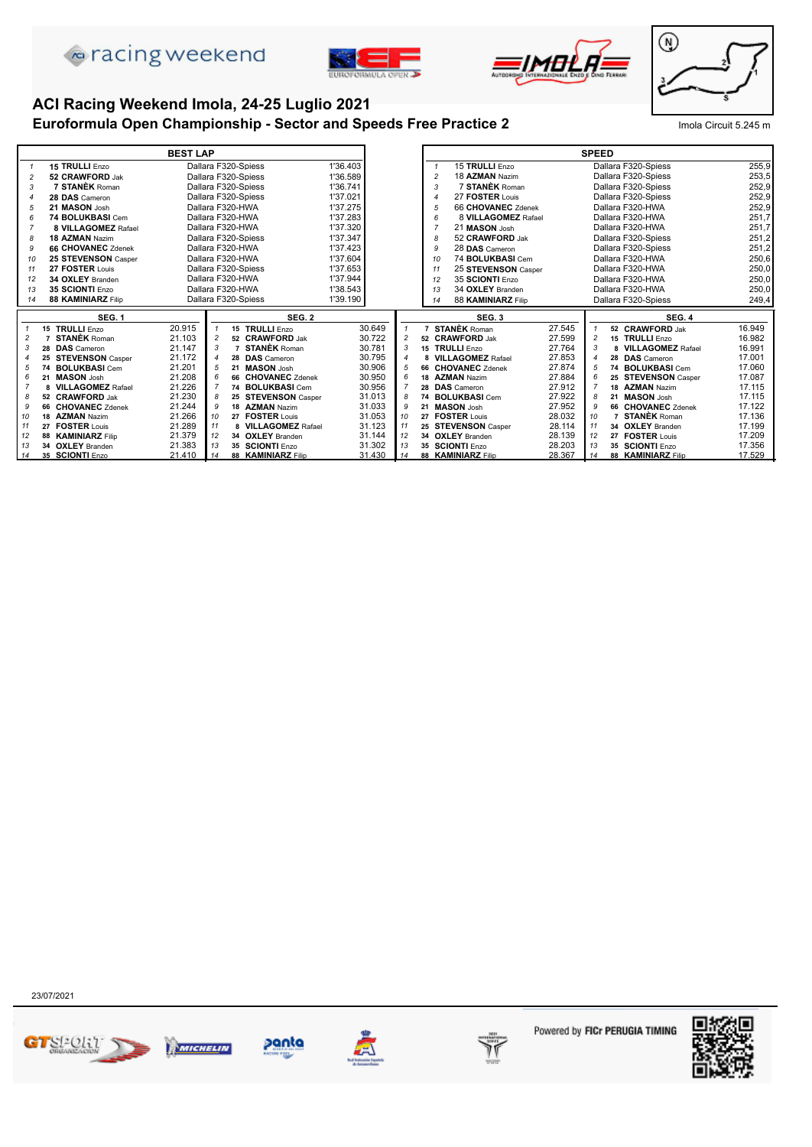





# **ACI Racing Weekend Imola, 24-25 Luglio 2021**

#### **Euroformula Open Championship - Sector and Speeds Free Practice 2** Imola Circuit 5.245 m



|                |                           | <b>BEST LAP</b> |                |                           |          |                |                                   |        | <b>SPEED</b>   |                            |        |
|----------------|---------------------------|-----------------|----------------|---------------------------|----------|----------------|-----------------------------------|--------|----------------|----------------------------|--------|
| $\mathbf{1}$   | 15 TRULLI Enzo            |                 |                | Dallara F320-Spiess       | 1'36.403 |                | 15 TRULLI Enzo<br>$\overline{1}$  |        |                | Dallara F320-Spiess        | 255.9  |
| $\overline{c}$ | 52 CRAWFORD Jak           |                 |                | Dallara F320-Spiess       | 1'36.589 |                | 18 AZMAN Nazim<br>$\overline{2}$  |        |                | Dallara F320-Spiess        | 253,5  |
| 3              | 7 STANÈK Roman            |                 |                | Dallara F320-Spiess       | 1'36.741 |                | 7 STANÈK Roman<br>3               |        |                | Dallara F320-Spiess        | 252,9  |
|                | 28 DAS Cameron            |                 |                | Dallara F320-Spiess       | 1'37.021 |                | 27 FOSTER Louis<br>$\overline{4}$ |        |                | Dallara F320-Spiess        | 252,9  |
| 5              | 21 MASON Josh             |                 |                | Dallara F320-HWA          | 1'37.275 |                | 66 CHOVANEC Zdenek<br>5           |        |                | Dallara F320-HWA           | 252.9  |
| 6              | 74 BOLUKBASI Cem          |                 |                | Dallara F320-HWA          | 1'37.283 |                | 8 VILLAGOMEZ Rafael<br>6          |        |                | Dallara F320-HWA           | 251,7  |
|                | 8 VILLAGOMEZ Rafael       |                 |                | Dallara F320-HWA          | 1'37.320 |                | 21 MASON Josh<br>$\overline{7}$   |        |                | Dallara F320-HWA           | 251,7  |
| 8              | 18 AZMAN Nazim            |                 |                | Dallara F320-Spiess       | 1'37.347 |                | 52 CRAWFORD Jak<br>8              |        |                | Dallara F320-Spiess        | 251,2  |
| 9              | <b>66 CHOVANEC Zdenek</b> |                 |                | Dallara F320-HWA          | 1'37.423 |                | 28 DAS Cameron<br><b>q</b>        |        |                | Dallara F320-Spiess        | 251,2  |
| 10             | 25 STEVENSON Casper       |                 |                | Dallara F320-HWA          | 1'37.604 |                | 74 BOLUKBASI Cem<br>10            |        |                | Dallara F320-HWA           | 250,6  |
| 11             | 27 FOSTER Louis           |                 |                | Dallara F320-Spiess       | 1'37.653 |                | 25 STEVENSON Casper<br>11         |        |                | Dallara F320-HWA           | 250,0  |
| 12             | 34 OXLEY Branden          |                 |                | Dallara F320-HWA          | 1'37.944 |                | 35 SCIONTI Enzo<br>12             |        |                | Dallara F320-HWA           | 250,0  |
| 13             | 35 SCIONTI Enzo           |                 |                | Dallara F320-HWA          | 1'38.543 |                | 34 OXLEY Branden<br>13            |        |                | Dallara F320-HWA           | 250,0  |
| 14             | 88 KAMINIARZ Filip        |                 |                | Dallara F320-Spiess       | 1'39.190 |                | 88 KAMINIARZ Filip<br>14          |        |                | Dallara F320-Spiess        | 249,4  |
|                | SEG. 1                    |                 |                | <b>SEG. 2</b>             |          |                | SEG. 3                            |        |                | SEG. 4                     |        |
|                | 15 TRULLI Enzo            | 20.915          |                | 15 TRULLI Enzo            | 30.649   | $\mathbf{1}$   | <b>STANÈK Roman</b>               | 27.545 |                | 52 CRAWFORD Jak            | 16.949 |
| $\overline{c}$ | <b>STANÈK</b> Roman       | 21.103          | $\overline{c}$ | 52 CRAWFORD Jak           | 30.722   | $\overline{c}$ | 52 CRAWFORD Jak                   | 27.599 | $\overline{c}$ | <b>TRULLI</b> Enzo<br>15   | 16.982 |
| 3              | 28 DAS Cameron            | 21.147          | 3              | 7 STANÈK Roman            | 30.781   | 3              | 15 TRULLI Enzo                    | 27.764 | 3              | <b>VILLAGOMEZ Rafael</b>   | 16.991 |
|                | 25 STEVENSON Casper       | 21.172          |                | 28 DAS Cameron            | 30.795   | $\overline{4}$ | 8 VILLAGOMEZ Rafael               | 27.853 | 4              | 28 DAS Cameron             | 17.001 |
| 5              | 74 BOLUKBASI Cem          | 21.201          | 5              | 21 MASON Josh             | 30.906   | 5              | 66 CHOVANEC Zdenek                | 27.874 | 5              | <b>BOLUKBASI</b> Cem<br>74 | 17.060 |
| 6              | 21 MASON Josh             | 21.208          |                | 66 CHOVANEC Zdenek        | 30.950   | 6              | 18 AZMAN Nazim                    | 27.884 | 6              | 25 STEVENSON Casper        | 17.087 |
|                | 8 VILLAGOMEZ Rafael       | 21.226          |                | 74 BOLUKBASI Cem          | 30.956   | $\overline{7}$ | 28 DAS Cameron                    | 27.912 |                | 18 AZMAN Nazim             | 17.115 |
| 8              | 52 CRAWFORD Jak           | 21.230          | 8              | 25 STEVENSON Casper       | 31.013   | 8              | 74 BOLUKBASI Cem                  | 27.922 | R              | 21 MASON Josh              | 17.115 |
| 9              | 66 CHOVANEC Zdenek        | 21.244          | 9              | 18 AZMAN Nazim            | 31.033   | 9              | 21 MASON Josh                     | 27.952 | 9              | 66 CHOVANEC Zdenek         | 17.122 |
| 10             | 18 AZMAN Nazim            | 21.266          | 10             | <b>FOSTER Louis</b><br>27 | 31.053   | 10             | 27 FOSTER Louis                   | 28.032 | 10             | <b>STANÈK Roman</b>        | 17.136 |
| 11             | 27 FOSTER Louis           | 21.289          | 11             | 8 VILLAGOMEZ Rafael       | 31.123   | 11             | 25 STEVENSON Casper               | 28.114 | 11             | 34 OXLEY Branden           | 17.199 |
| 12             | 88 KAMINIARZ Filip        | 21.379          | 12             | 34 OXLEY Branden          | 31.144   | 12             | 34 OXLEY Branden                  | 28.139 | 12             | 27 FOSTER Louis            | 17.209 |
| 13             | 34 OXLEY Branden          | 21.383          | 13             | 35 SCIONTI Enzo           | 31.302   | 13             | 35 SCIONTI Enzo                   | 28.203 | 13             | 35 SCIONTI Enzo            | 17.356 |
| 14             | 35 SCIONTI Enzo           | 21.410          | 14             | 88 KAMINIARZ Filip        | 31.430   | 14             | 88 KAMINIARZ Filip                | 28.367 | 14             | 88 KAMINIARZ Filip         | 17.529 |











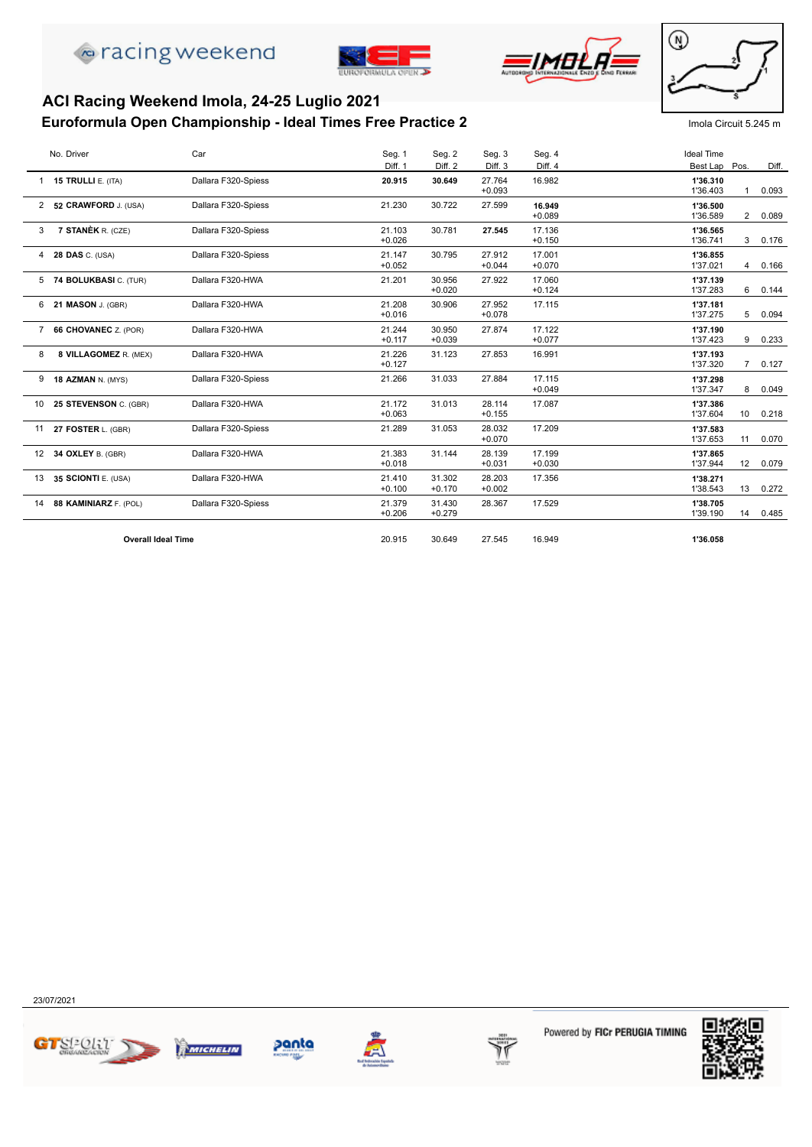





#### **Euroformula Open Championship - Ideal Times Free Practice 2** Imola Circuit 5.245 m **ACI Racing Weekend Imola, 24-25 Luglio 2021**



|             | No. Driver                | Car                 | Seg. 1             | Seg. 2             | Seg. 3             | Seg. 4             | <b>Ideal Time</b>    |                 |       |
|-------------|---------------------------|---------------------|--------------------|--------------------|--------------------|--------------------|----------------------|-----------------|-------|
|             |                           |                     | Diff. 1            | Diff. 2            | Diff. <sub>3</sub> | Diff. 4            | Best Lap Pos.        |                 | Diff. |
|             | 15 TRULLI E. (ITA)        | Dallara F320-Spiess | 20.915             | 30.649             | 27.764             | 16.982             | 1'36.310             |                 |       |
|             |                           |                     |                    |                    | $+0.093$           |                    | 1'36.403             |                 | 0.093 |
|             | 2 52 CRAWFORD J. (USA)    | Dallara F320-Spiess | 21.230             | 30.722             | 27.599             | 16.949             | 1'36.500             |                 |       |
|             |                           |                     |                    |                    |                    | $+0.089$           | 1'36.589             | $\overline{2}$  | 0.089 |
| 3           | 7 STANÈK R. (CZE)         | Dallara F320-Spiess | 21.103             | 30.781             | 27.545             | 17.136             | 1'36.565             |                 |       |
|             |                           |                     | $+0.026$           |                    |                    | $+0.150$           | 1'36.741             | 3               | 0.176 |
| 4           | <b>28 DAS C. (USA)</b>    | Dallara F320-Spiess | 21.147             | 30.795             | 27.912             | 17.001             | 1'36.855             |                 |       |
|             |                           |                     | $+0.052$           |                    | $+0.044$           | $+0.070$           | 1'37.021             | 4               | 0.166 |
|             | 5 74 BOLUKBASI C. (TUR)   | Dallara F320-HWA    | 21.201             | 30.956             | 27.922             | 17.060             | 1'37.139             |                 |       |
|             |                           |                     |                    | $+0.020$           |                    | $+0.124$           | 1'37.283             | 6               | 0.144 |
|             | 6 21 MASON J. (GBR)       | Dallara F320-HWA    | 21.208             | 30.906             | 27.952             | 17.115             | 1'37.181             |                 |       |
|             |                           |                     | $+0.016$           |                    | $+0.078$           |                    | 1'37.275             | 5               | 0.094 |
| $7^{\circ}$ | 66 CHOVANEC Z. (POR)      | Dallara F320-HWA    | 21.244             | 30.950             | 27.874             | 17.122             | 1'37.190             |                 |       |
|             |                           |                     | $+0.117$           | $+0.039$           |                    | $+0.077$           | 1'37.423             | 9               | 0.233 |
| 8           | 8 VILLAGOMEZ R. (MEX)     | Dallara F320-HWA    | 21.226             | 31.123             | 27.853             | 16.991             | 1'37.193             |                 |       |
|             |                           |                     | $+0.127$           |                    |                    |                    | 1'37.320             | $7^{\circ}$     | 0.127 |
|             | 9 18 AZMAN N. (MYS)       | Dallara F320-Spiess | 21.266             | 31.033             | 27.884             | 17.115             | 1'37.298             |                 |       |
|             |                           |                     |                    |                    |                    | $+0.049$           | 1'37.347             | 8               | 0.049 |
|             | 10 25 STEVENSON C. (GBR)  | Dallara F320-HWA    | 21.172<br>$+0.063$ | 31.013             | 28.114<br>$+0.155$ | 17.087             | 1'37.386             |                 |       |
|             |                           |                     |                    |                    |                    |                    | 1'37.604             | 10              | 0.218 |
| 11          | 27 FOSTER L. (GBR)        | Dallara F320-Spiess | 21.289             | 31.053             | 28.032<br>$+0.070$ | 17.209             | 1'37.583<br>1'37.653 | 11              | 0.070 |
|             |                           |                     |                    |                    |                    |                    |                      |                 |       |
|             | 12 34 OXLEY B. (GBR)      | Dallara F320-HWA    | 21.383<br>$+0.018$ | 31.144             | 28.139<br>$+0.031$ | 17.199<br>$+0.030$ | 1'37.865<br>1'37.944 | 12 <sup>2</sup> | 0.079 |
|             |                           |                     |                    |                    |                    |                    |                      |                 |       |
|             | 13 35 SCIONTI E. (USA)    | Dallara F320-HWA    | 21.410<br>$+0.100$ | 31.302<br>$+0.170$ | 28.203<br>$+0.002$ | 17.356             | 1'38.271<br>1'38.543 | 13              | 0.272 |
|             |                           |                     |                    | 31.430             | 28.367             | 17.529             |                      |                 |       |
|             | 14 88 KAMINIARZ F. (POL)  | Dallara F320-Spiess | 21.379<br>$+0.206$ | $+0.279$           |                    |                    | 1'38.705<br>1'39.190 | 14              | 0.485 |
|             |                           |                     |                    |                    |                    |                    |                      |                 |       |
|             | <b>Overall Ideal Time</b> |                     | 20.915             | 30.649             | 27.545             | 16.949             | 1'36.058             |                 |       |
|             |                           |                     |                    |                    |                    |                    |                      |                 |       |

23/07/2021







panta



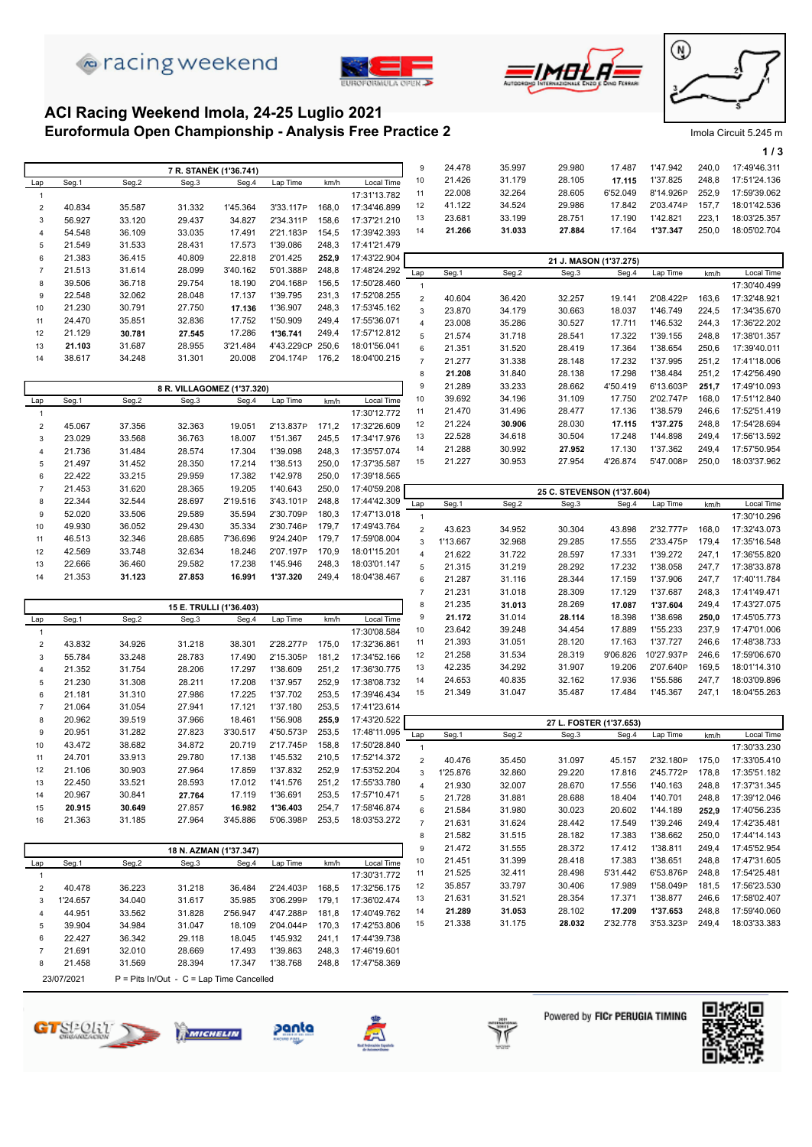







#### **Euroformula Open Championship - Analysis Free Practice 2** Imola Circuit 5.245 m **ACI Racing Weekend Imola, 24-25 Luglio 2021**

|                            |                  |                  |                                            |                  |                      |                |                              |                     |                  |                  |                            |                        |                      |                | 1/3                          |
|----------------------------|------------------|------------------|--------------------------------------------|------------------|----------------------|----------------|------------------------------|---------------------|------------------|------------------|----------------------------|------------------------|----------------------|----------------|------------------------------|
|                            |                  |                  | 7 R. STANÈK (1'36.741)                     |                  |                      |                |                              | 9                   | 24.478           | 35.997           | 29.980                     | 17.487                 | 1'47.942             | 240,0          | 17:49'46.311                 |
| Lap                        | Seg.1            | Seg.2            | Seg.3                                      | Seg.4            | Lap Time             | km/h           | Local Time                   | 10                  | 21.426           | 31.179           | 28.105                     | 17.115                 | 1'37.825             | 248,8          | 17:51'24.136                 |
| $\mathbf{1}$               |                  |                  |                                            |                  |                      |                | 17:31'13.782                 | 11                  | 22.008           | 32.264           | 28.605                     | 6'52.049               | 8'14.926P            | 252,9          | 17:59'39.062                 |
| $\overline{2}$             | 40.834           | 35.587           | 31.332                                     | 1'45.364         | 3'33.117P            | 168,0          | 17:34'46.899                 | 12                  | 41.122           | 34.524           | 29.986                     | 17.842                 | 2'03.474P            | 157,7          | 18:01'42.536                 |
| 3                          | 56.927           | 33.120           | 29.437                                     | 34.827           | 2'34.311P            | 158,6          | 17:37'21.210                 | 13                  | 23.681           | 33.199<br>31.033 | 28.751<br>27.884           | 17.190<br>17.164       | 1'42.821<br>1'37.347 | 223,1<br>250,0 | 18:03'25.357<br>18:05'02.704 |
| 4                          | 54.548           | 36.109           | 33.035                                     | 17.491           | 2'21.183P            | 154,5          | 17:39'42.393                 | 14                  | 21.266           |                  |                            |                        |                      |                |                              |
| 5<br>6                     | 21.549<br>21.383 | 31.533<br>36.415 | 28.431<br>40.809                           | 17.573<br>22.818 | 1'39.086<br>2'01.425 | 248,3<br>252,9 | 17:41'21.479<br>17:43'22.904 |                     |                  |                  |                            |                        |                      |                |                              |
| $\overline{7}$             | 21.513           | 31.614           | 28.099                                     | 3'40.162         | 5'01.388P            | 248,8          | 17:48'24.292                 |                     |                  |                  |                            | 21 J. MASON (1'37.275) |                      |                |                              |
| 8                          | 39.506           | 36.718           | 29.754                                     | 18.190           | 2'04.168P            | 156,5          | 17:50'28.460                 | Lap<br>1            | Seg.1            | Seg.2            | Seg.3                      | Seg.4                  | Lap Time             | km/h           | Local Time<br>17:30'40.499   |
| 9                          | 22.548           | 32.062           | 28.048                                     | 17.137           | 1'39.795             | 231,3          | 17:52'08.255                 | $\overline{2}$      | 40.604           | 36.420           | 32.257                     | 19.141                 | 2'08.422P            | 163,6          | 17:32'48.921                 |
| 10                         | 21.230           | 30.791           | 27.750                                     | 17.136           | 1'36.907             | 248,3          | 17:53'45.162                 | 3                   | 23.870           | 34.179           | 30.663                     | 18.037                 | 1'46.749             | 224,5          | 17:34'35.670                 |
| 11                         | 24.470           | 35.851           | 32.836                                     | 17.752           | 1'50.909             | 249,4          | 17:55'36.071                 | 4                   | 23.008           | 35.286           | 30.527                     | 17.711                 | 1'46.532             | 244,3          | 17:36'22.202                 |
| 12                         | 21.129           | 30.781           | 27.545                                     | 17.286           | 1'36.741             | 249,4          | 17:57'12.812                 | 5                   | 21.574           | 31.718           | 28.541                     | 17.322                 | 1'39.155             | 248,8          | 17:38'01.357                 |
| 13                         | 21.103           | 31.687           | 28.955                                     | 3'21.484         | 4'43.229CP 250,6     |                | 18:01'56.041                 | 6                   | 21.351           | 31.520           | 28.419                     | 17.364                 | 1'38.654             | 250,6          | 17:39'40.011                 |
| 14                         | 38.617           | 34.248           | 31.301                                     | 20.008           | 2'04.174P            | 176,2          | 18:04'00.215                 | $\overline{7}$      | 21.277           | 31.338           | 28.148                     | 17.232                 | 1'37.995             | 251,2          | 17:41'18.006                 |
|                            |                  |                  |                                            |                  |                      |                |                              | 8                   | 21.208           | 31.840           | 28.138                     | 17.298                 | 1'38.484             | 251,2          | 17:42'56.490                 |
|                            |                  |                  | 8 R. VILLAGOMEZ (1'37.320)                 |                  |                      |                |                              | 9                   | 21.289           | 33.233           | 28.662                     | 4'50.419               | 6'13.603P            | 251,7          | 17:49'10.093                 |
| Lap                        | Seg.1            | Seg.2            | Seg.3                                      | Seg.4            | Lap Time             | km/h           | Local Time                   | 10                  | 39.692           | 34.196           | 31.109                     | 17.750                 | 2'02.747P            | 168,0          | 17:51'12.840                 |
| $\mathbf{1}$               |                  |                  |                                            |                  |                      |                | 17:30'12.772                 | 11                  | 21.470           | 31.496           | 28.477                     | 17.136                 | 1'38.579             | 246,6          | 17:52'51.419                 |
| $\sqrt{2}$                 | 45.067           | 37.356           | 32.363                                     | 19.051           | 2'13.837P            | 171,2          | 17:32'26.609                 | 12<br>13            | 21.224<br>22.528 | 30.906<br>34.618 | 28.030<br>30.504           | 17.115<br>17.248       | 1'37.275<br>1'44.898 | 248,8<br>249,4 | 17:54'28.694<br>17:56'13.592 |
| 3                          | 23.029           | 33.568           | 36.763                                     | 18.007           | 1'51.367<br>1'39.098 | 245,5          | 17:34'17.976<br>17:35'57.074 | 14                  | 21.288           | 30.992           | 27.952                     | 17.130                 | 1'37.362             | 249,4          | 17:57'50.954                 |
| 4<br>5                     | 21.736<br>21.497 | 31.484<br>31.452 | 28.574<br>28.350                           | 17.304<br>17.214 | 1'38.513             | 248,3<br>250,0 | 17:37'35.587                 | 15                  | 21.227           | 30.953           | 27.954                     | 4'26.874               | 5'47.008P            | 250,0          | 18:03'37.962                 |
| 6                          | 22.422           | 33.215           | 29.959                                     | 17.382           | 1'42.978             | 250,0          | 17:39'18.565                 |                     |                  |                  |                            |                        |                      |                |                              |
| $\overline{7}$             | 21.453           | 31.620           | 28.365                                     | 19.205           | 1'40.643             | 250,0          | 17:40'59.208                 |                     |                  |                  | 25 C. STEVENSON (1'37.604) |                        |                      |                |                              |
| 8                          | 22.344           | 32.544           | 28.697                                     | 2'19.516         | 3'43.101P            | 248,8          | 17:44'42.309                 | Lap                 | Seg.1            | Seg.2            | Seg.3                      | Seg.4                  | Lap Time             | km/h           | Local Time                   |
| 9                          | 52.020           | 33.506           | 29.589                                     | 35.594           | 2'30.709P            | 180,3          | 17:47'13.018                 | $\mathbf{1}$        |                  |                  |                            |                        |                      |                | 17:30'10.296                 |
| 10                         | 49.930           | 36.052           | 29.430                                     | 35.334           | 2'30.746P            | 179,7          | 17:49'43.764                 | $\overline{2}$      | 43.623           | 34.952           | 30.304                     | 43.898                 | 2'32.777P            | 168,0          | 17:32'43.073                 |
| 11                         | 46.513           | 32.346           | 28.685                                     | 7'36.696         | 9'24.240P            | 179,7          | 17:59'08.004                 | 3                   | 1'13.667         | 32.968           | 29.285                     | 17.555                 | 2'33.475P            | 179,4          | 17:35'16.548                 |
| 12                         | 42.569           | 33.748           | 32.634                                     | 18.246           | 2'07.197P            | 170,9          | 18:01'15.201                 | $\overline{4}$      | 21.622           | 31.722           | 28.597                     | 17.331                 | 1'39.272             | 247,1          | 17:36'55.820                 |
| 13                         | 22.666           | 36.460           | 29.582                                     | 17.238           | 1'45.946             | 248,3          | 18:03'01.147                 | 5                   | 21.315           | 31.219           | 28.292                     | 17.232                 | 1'38.058             | 247,7          | 17:38'33.878                 |
| 14                         | 21.353           | 31.123           | 27.853                                     | 16.991           | 1'37.320             | 249,4          | 18:04'38.467                 | 6                   | 21.287           | 31.116           | 28.344                     | 17.159                 | 1'37.906             | 247,7          | 17:40'11.784                 |
|                            |                  |                  |                                            |                  |                      |                |                              | $\overline{7}$      | 21.231           | 31.018           | 28.309                     | 17.129                 | 1'37.687             | 248,3          | 17:41'49.471                 |
|                            |                  |                  | 15 E. TRULLI (1'36.403)                    |                  |                      |                |                              | 8                   | 21.235           | 31.013           | 28.269                     | 17.087                 | 1'37.604             | 249,4          | 17:43'27.075                 |
| Lap                        | Seg.1            | Seg.2            | Seg.3                                      | Seg.4            | Lap Time             | km/h           | Local Time                   | 9<br>10             | 21.172<br>23.642 | 31.014<br>39.248 | 28.114<br>34.454           | 18.398<br>17.889       | 1'38.698<br>1'55.233 | 250,0<br>237,9 | 17:45'05.773<br>17:47'01.006 |
| $\mathbf{1}$               |                  |                  |                                            | 38.301           | 2'28.277P            | 175,0          | 17:30'08.584                 | 11                  | 21.393           | 31.051           | 28.120                     | 17.163                 | 1'37.727             | 246,6          | 17:48'38.733                 |
| $\sqrt{2}$<br>$\mathbf{3}$ | 43.832<br>55.784 | 34.926<br>33.248 | 31.218<br>28.783                           | 17.490           | 2'15.305P            | 181,2          | 17:32'36.861<br>17:34'52.166 | 12                  | 21.258           | 31.534           | 28.319                     | 9'06.826               | 10'27.937P           | 246,6          | 17:59'06.670                 |
| 4                          | 21.352           | 31.754           | 28.206                                     | 17.297           | 1'38.609             | 251,2          | 17:36'30.775                 | 13                  | 42.235           | 34.292           | 31.907                     | 19.206                 | 2'07.640P            | 169,5          | 18:01'14.310                 |
| 5                          | 21.230           | 31.308           | 28.211                                     | 17.208           | 1'37.957             | 252,9          | 17:38'08.732                 | 14                  | 24.653           | 40.835           | 32.162                     | 17.936                 | 1'55.586             | 247,7          | 18:03'09.896                 |
| 6                          | 21.181           | 31.310           | 27.986                                     | 17.225           | 1'37.702             | 253,5          | 17:39'46.434                 | 15                  | 21.349           | 31.047           | 35.487                     | 17.484                 | 1'45.367             | 247,1          | 18:04'55.263                 |
| $\overline{7}$             | 21.064           | 31.054           | 27.941                                     | 17.121           | 1'37.180             | 253,5          | 17:41'23.614                 |                     |                  |                  |                            |                        |                      |                |                              |
| 8                          | 20.962           | 39.519           | 37.966                                     | 18.461           | 1'56.908             | 255,9          | 17:43'20.522                 |                     |                  |                  | 27 L. FOSTER (1'37.653)    |                        |                      |                |                              |
| 9                          | 20.951           | 31.282           | 27.823                                     | 3'30.517         | 4'50.573P            | 253,5          | 17:48'11.095                 | Lap                 | Seg.1            | Seg.2            | Seg.3                      | Seg.4                  | Lap Time             | km/h           | Local Time                   |
| 10                         | 43.472           | 38.682           | 34.872                                     | 20.719           | 2'17.745P            | 158,8          | 17:50'28.840                 | $\mathbf{1}$        |                  |                  |                            |                        |                      |                | 17:30'33.230                 |
| 11                         | 24.701           | 33.913           | 29.780                                     | 17.138           | 1'45.532             | 210,5          | 17:52'14.372                 | $\overline{2}$      | 40.476           | 35.450           | 31.097                     | 45.157                 | 2'32.180P            | 175,0          | 17:33'05.410                 |
| 12                         | 21.106           | 30.903           | 27.964                                     | 17.859           | 1'37.832             | 252,9          | 17:53'52.204                 | 3                   | 1'25.876         | 32.860           | 29.220                     | 17.816                 | 2'45.772P            | 178,8          | 17:35'51.182                 |
| 13                         | 22.450<br>20.967 | 33.521<br>30.841 | 28.593<br>27.764                           | 17.012<br>17.119 | 1'41.576<br>1'36.691 | 251,2<br>253,5 | 17:55'33.780<br>17:57'10.471 | $\overline{4}$      | 21.930           | 32.007           | 28.670                     | 17.556                 | 1'40.163             | 248,8          | 17:37'31.345                 |
| 14<br>15                   | 20.915           | 30.649           | 27.857                                     | 16.982           | 1'36.403             | 254,7          | 17:58'46.874                 | 5                   | 21.728           | 31.881           | 28.688                     | 18.404                 | 1'40.701             | 248,8          | 17:39'12.046                 |
| 16                         | 21.363           | 31.185           | 27.964                                     | 3'45.886         | 5'06.398P            | 253,5          | 18:03'53.272                 | 6<br>$\overline{7}$ | 21.584<br>21.631 | 31.980<br>31.624 | 30.023<br>28.442           | 20.602<br>17.549       | 1'44.189<br>1'39.246 | 252,9<br>249,4 | 17:40'56.235<br>17:42'35.481 |
|                            |                  |                  |                                            |                  |                      |                |                              | 8                   | 21.582           | 31.515           | 28.182                     | 17.383                 | 1'38.662             | 250,0          | 17:44'14.143                 |
|                            |                  |                  | 18 N. AZMAN (1'37.347)                     |                  |                      |                |                              | 9                   | 21.472           | 31.555           | 28.372                     | 17.412                 | 1'38.811             | 249,4          | 17:45'52.954                 |
| Lap                        | Seg.1            | Seg.2            | Seg.3                                      | Seg.4            | Lap Time             | km/h           | Local Time                   | 10                  | 21.451           | 31.399           | 28.418                     | 17.383                 | 1'38.651             | 248,8          | 17:47'31.605                 |
| $\mathbf{1}$               |                  |                  |                                            |                  |                      |                | 17:30'31.772                 | 11                  | 21.525           | 32.411           | 28.498                     | 5'31.442               | 6'53.876P            | 248,8          | 17:54'25.481                 |
| $\overline{2}$             | 40.478           | 36.223           | 31.218                                     | 36.484           | 2'24.403P            | 168,5          | 17:32'56.175                 | 12                  | 35.857           | 33.797           | 30.406                     | 17.989                 | 1'58.049P            | 181,5          | 17:56'23.530                 |
| 3                          | 1'24.657         | 34.040           | 31.617                                     | 35.985           | 3'06.299P            | 179,1          | 17:36'02.474                 | 13                  | 21.631           | 31.521           | 28.354                     | 17.371                 | 1'38.877             | 246,6          | 17:58'02.407                 |
| 4                          | 44.951           | 33.562           | 31.828                                     | 2'56.947         | 4'47.288P            | 181,8          | 17:40'49.762                 | 14                  | 21.289           | 31.053           | 28.102                     | 17.209                 | 1'37.653             | 248,8          | 17:59'40.060                 |
| 5                          | 39.904           | 34.984           | 31.047                                     | 18.109           | 2'04.044P            | 170,3          | 17:42'53.806                 | 15                  | 21.338           | 31.175           | 28.032                     | 2'32.778               | 3'53.323P            | 249,4          | 18:03'33.383                 |
| 6                          | 22.427           | 36.342           | 29.118                                     | 18.045           | 1'45.932             | 241,1          | 17:44'39.738                 |                     |                  |                  |                            |                        |                      |                |                              |
| $\overline{7}$             | 21.691           | 32.010           | 28.669                                     | 17.493           | 1'39.863             | 248,3          | 17:46'19.601                 |                     |                  |                  |                            |                        |                      |                |                              |
| 8                          | 21.458           | 31.569           | 28.394                                     | 17.347           | 1'38.768             | 248,8          | 17:47'58.369                 |                     |                  |                  |                            |                        |                      |                |                              |
|                            | 23/07/2021       |                  | $P =$ Pits In/Out - C = Lap Time Cancelled |                  |                      |                |                              |                     |                  |                  |                            |                        |                      |                |                              |
|                            |                  |                  |                                            |                  |                      |                |                              |                     |                  |                  |                            |                        |                      |                |                              |









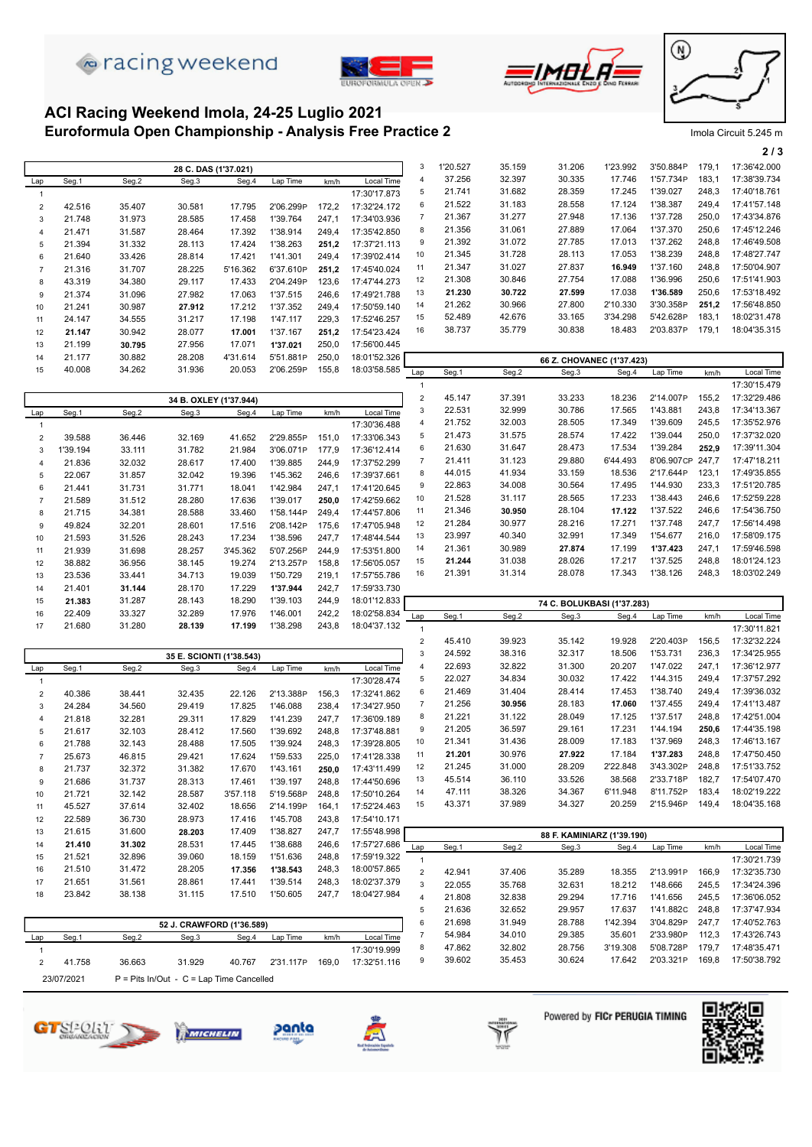







#### **Euroformula Open Championship - Analysis Free Practice 2** Imola Circuit 5.245 m **ACI Racing Weekend Imola, 24-25 Luglio 2021**

|                |        |        |                      |          |           |       |              |     |          |        |                           |          |           |       | 2/3          |
|----------------|--------|--------|----------------------|----------|-----------|-------|--------------|-----|----------|--------|---------------------------|----------|-----------|-------|--------------|
|                |        |        | 28 C. DAS (1'37.021) |          |           |       |              | 3   | 1'20.527 | 35.159 | 31.206                    | 1'23.992 | 3'50.884P | 179.1 | 17:36'42.000 |
| Lap            | Seg.1  | Seg.2  | Seg.3                | Seg.4    | Lap Time  | km/h  | Local Time   |     | 37.256   | 32.397 | 30.335                    | 17.746   | 1'57.734P | 183,1 | 17:38'39.734 |
|                |        |        |                      |          |           |       | 17:30'17.873 | 5   | 21.741   | 31.682 | 28.359                    | 17.245   | 1'39.027  | 248.3 | 17:40'18.761 |
| 2              | 42.516 | 35.407 | 30.581               | 17.795   | 2'06.299P | 172,2 | 17:32'24.172 | 6   | 21.522   | 31.183 | 28.558                    | 17.124   | 1'38.387  | 249.4 | 17:41'57.148 |
| 3              | 21.748 | 31.973 | 28.585               | 17.458   | 1'39.764  | 247.1 | 17:34'03.936 |     | 21.367   | 31.277 | 27.948                    | 17.136   | 1'37.728  | 250,0 | 17:43'34.876 |
| $\overline{4}$ | 21.471 | 31.587 | 28.464               | 17.392   | '38.914   | 249,4 | 17:35'42.850 | 8   | 21.356   | 31.061 | 27.889                    | 17.064   | 1'37.370  | 250,6 | 17:45'12.246 |
| 5              | 21.394 | 31.332 | 28.113               | 17.424   | 1'38.263  | 251.2 | 17:37'21.113 | 9   | 21.392   | 31.072 | 27.785                    | 17.013   | 1'37.262  | 248,8 | 17:46'49.508 |
| 6              | 21.640 | 33.426 | 28.814               | 17.421   | 1'41.301  | 249.4 | 17:39'02.414 | 10  | 21.345   | 31.728 | 28.113                    | 17.053   | 1'38.239  | 248,8 | 17:48'27.747 |
| $\overline{7}$ | 21.316 | 31.707 | 28.225               | 5'16.362 | 6'37.610P | 251,2 | 17:45'40.024 | 11  | 21.347   | 31.027 | 27.837                    | 16.949   | 1'37.160  | 248.8 | 17:50'04.907 |
| 8              | 43.319 | 34.380 | 29.117               | 17.433   | 2'04.249P | 123,6 | 17:47'44.273 | 12  | 21.308   | 30.846 | 27.754                    | 17.088   | 1'36.996  | 250,6 | 17:51'41.903 |
| 9              | 21.374 | 31.096 | 27.982               | 17.063   | 1'37.515  | 246,6 | 17:49'21.788 | 13  | 21.230   | 30.722 | 27.599                    | 17.038   | 1'36.589  | 250,6 | 17:53'18.492 |
| 10             | 21.241 | 30.987 | 27.912               | 17.212   | 1'37.352  | 249.4 | 17:50'59.140 | 14  | 21.262   | 30.966 | 27.800                    | 2'10.330 | 3'30.358P | 251.2 | 17:56'48.850 |
| 11             | 24.147 | 34.555 | 31.217               | 17.198   | 1'47.117  | 229,3 | 17:52'46.257 | 15  | 52.489   | 42.676 | 33.165                    | 3'34.298 | 5'42.628P | 183.1 | 18:02'31.478 |
| 12             | 21.147 | 30.942 | 28.077               | 17.001   | 1'37.167  | 251,2 | 17:54'23.424 | 16  | 38.737   | 35.779 | 30.838                    | 18.483   | 2'03.837P | 179,1 | 18:04'35.315 |
| 13             | 21.199 | 30.795 | 27.956               | 17.071   | 1'37.021  | 250,0 | 17:56'00.445 |     |          |        |                           |          |           |       |              |
| 14             | 21.177 | 30.882 | 28.208               | 4'31.614 | 5'51.881P | 250,0 | 18:01'52.326 |     |          |        | 66 Z. CHOVANEC (1'37.423) |          |           |       |              |
| 15             | 40.008 | 34.262 | 31.936               | 20.053   | 2'06.259P | 155,8 | 18:03'58.585 | Lap | Seg.1    | Seg.2  | Seg.3                     | Seg.4    | Lap Time  | km/h  | Local Time   |
|                |        |        |                      |          |           |       |              |     |          |        |                           |          |           |       | 17:30'15.479 |

|                |          |        | 34 B. OXLEY (1'37.944) |          |           |       |              | 2   | 45.147 | 37.391 | 33.233                     | 18.236   | 2'14.007P  | 155,2 | 17:32'29.486 |
|----------------|----------|--------|------------------------|----------|-----------|-------|--------------|-----|--------|--------|----------------------------|----------|------------|-------|--------------|
| Lap            | Seg.1    | Seg.2  | Seg.3                  | Seg.4    | Lap Time  | km/h  | Local Time   | 3   | 22.531 | 32.999 | 30.786                     | 17.565   | 1'43.881   | 243,8 | 17:34'13.367 |
|                |          |        |                        |          |           |       | 17:30'36.488 | 4   | 21.752 | 32.003 | 28.505                     | 17.349   | 1'39.609   | 245,5 | 17:35'52.976 |
| $\overline{2}$ | 39.588   | 36.446 | 32.169                 | 41.652   | 2'29.855P | 151.0 | 17:33'06.343 | 5   | 21.473 | 31.575 | 28.574                     | 17.422   | 1'39.044   | 250,0 | 17:37'32.020 |
| 3              | 1'39.194 | 33.111 | 31.782                 | 21.984   | 3'06.071P | 177.9 | 17:36'12.414 | 6   | 21.630 | 31.647 | 28.473                     | 17.534   | 1'39.284   | 252.9 | 17:39'11.304 |
| 4              | 21.836   | 32.032 | 28.617                 | 17.400   | 1'39.885  | 244,9 | 17:37'52.299 |     | 21.411 | 31.123 | 29.880                     | 6'44.493 | 8'06.907CP | 247.7 | 17:47'18.211 |
| 5              | 22.067   | 31.857 | 32.042                 | 19.396   | 1'45.362  | 246,6 | 17:39'37.661 | 8   | 44.015 | 41.934 | 33.159                     | 18.536   | 2'17.644P  | 123.1 | 17:49'35.855 |
| 6              | 21.441   | 31.731 | 31.771                 | 18.041   | 1'42.984  | 247,1 | 17:41'20.645 | 9   | 22.863 | 34.008 | 30.564                     | 17.495   | 1'44.930   | 233,3 | 17:51'20.785 |
|                | 21.589   | 31.512 | 28.280                 | 17.636   | 1'39.017  | 250,0 | 17:42'59.662 | 10  | 21.528 | 31.117 | 28.565                     | 17.233   | 1'38.443   | 246,6 | 17:52'59.228 |
| 8              | 21.715   | 34.381 | 28.588                 | 33.460   | 1'58.144P | 249,4 | 17:44'57.806 | 11  | 21.346 | 30.950 | 28.104                     | 17.122   | 1'37.522   | 246.6 | 17:54'36.750 |
| 9              | 49.824   | 32.201 | 28.601                 | 17.516   | 2'08.142P | 175.6 | 17:47'05.948 | 12  | 21.284 | 30.977 | 28.216                     | 17.271   | 1'37.748   | 247.7 | 17:56'14.498 |
| 10             | 21.593   | 31.526 | 28.243                 | 17.234   | 1'38.596  | 247,7 | 17:48'44.544 | 13  | 23.997 | 40.340 | 32.991                     | 17.349   | 1'54.677   | 216.0 | 17:58'09.175 |
| 11             | 21.939   | 31.698 | 28.257                 | 3'45.362 | 5'07.256P | 244,9 | 17:53'51.800 | 14  | 21.361 | 30.989 | 27.874                     | 17.199   | 1'37.423   | 247.1 | 17:59'46.598 |
| 12             | 38.882   | 36.956 | 38.145                 | 19.274   | 2'13.257P | 158,8 | 17:56'05.057 | 15  | 21.244 | 31.038 | 28.026                     | 17.217   | 1'37.525   | 248,8 | 18:01'24.123 |
| 13             | 23.536   | 33.441 | 34.713                 | 19.039   | 1'50.729  | 219,1 | 17:57'55.786 | 16  | 21.391 | 31.314 | 28.078                     | 17.343   | 1'38.126   | 248,3 | 18:03'02.249 |
| 14             | 21.401   | 31.144 | 28.170                 | 17.229   | 1'37.944  | 242,7 | 17:59'33.730 |     |        |        |                            |          |            |       |              |
| 15             | 21.383   | 31.287 | 28.143                 | 18.290   | 1'39.103  | 244,9 | 18:01'12.833 |     |        |        | 74 C. BOLUKBASI (1'37.283) |          |            |       |              |
| 16             | 22.409   | 33.327 | 32.289                 | 17.976   | 1'46.001  | 242,2 | 18:02'58.834 | Lap | Seg.1  | Seg.2  | Seg.3                      | Seg.4    | Lap Time   | km/h  | Local Time   |
| 17             | 21.680   | 31.280 | 28.139                 | 17.199   | 1'38.298  | 243,8 | 18:04'37.132 |     |        |        |                            |          |            |       | 17:30'11.821 |

|                |        |        |                           |          |           |       |              | $\overline{2}$        | 45.410 | 39.923 | 35.142                     | 19.928   | 2'20.403P | 156,5 | 17:32'32.224 |
|----------------|--------|--------|---------------------------|----------|-----------|-------|--------------|-----------------------|--------|--------|----------------------------|----------|-----------|-------|--------------|
|                |        |        | 35 E. SCIONTI (1'38.543)  |          |           |       |              | 3                     | 24.592 | 38.316 | 32.317                     | 18.506   | 1'53.731  | 236,3 | 17:34'25.955 |
| Lap            | Seg.1  | Seg.2  | Seg.3                     | Seg.4    | Lap Time  | km/h  | Local Time   |                       | 22.693 | 32.822 | 31.300                     | 20.207   | 1'47.022  | 247,1 | 17:36'12.977 |
|                |        |        |                           |          |           |       | 17:30'28.474 | 5                     | 22.027 | 34.834 | 30.032                     | 17.422   | 1'44.315  | 249,4 | 17:37'57.292 |
| 2              | 40.386 | 38.441 | 32.435                    | 22.126   | 2'13.388P | 156,3 | 17:32'41.862 | 6                     | 21.469 | 31.404 | 28.414                     | 17.453   | 1'38.740  | 249,4 | 17:39'36.032 |
| 3              | 24.284 | 34.560 | 29.419                    | 17.825   | 1'46.088  | 238,4 | 17:34'27.950 |                       | 21.256 | 30.956 | 28.183                     | 17.060   | 1'37.455  | 249,4 | 17:41'13.487 |
| $\overline{4}$ | 21.818 | 32.281 | 29.311                    | 17.829   | 1'41.239  | 247,7 | 17:36'09.189 | 8                     | 21.221 | 31.122 | 28.049                     | 17.125   | 1'37.517  | 248,8 | 17:42'51.004 |
| 5              | 21.617 | 32.103 | 28.412                    | 17.560   | 1'39.692  | 248,8 | 17:37'48.881 | 9                     | 21.205 | 36.597 | 29.161                     | 17.231   | 1'44.194  | 250,6 | 17:44'35.198 |
| 6              | 21.788 | 32.143 | 28.488                    | 17.505   | 1'39.924  | 248,3 | 17:39'28.805 | 10                    | 21.341 | 31.436 | 28.009                     | 17.183   | 1'37.969  | 248,3 | 17:46'13.167 |
|                | 25.673 | 46.815 | 29.421                    | 17.624   | 1'59.533  | 225,0 | 17:41'28.338 | 11                    | 21.201 | 30.976 | 27.922                     | 17.184   | 1'37.283  | 248,8 | 17:47'50.450 |
| 8              | 21.737 | 32.372 | 31.382                    | 17.670   | 1'43.161  | 250,0 | 17:43'11.499 | 12                    | 21.245 | 31.000 | 28.209                     | 2'22.848 | 3'43.302P | 248,8 | 17:51'33.752 |
| 9              | 21.686 | 31.737 | 28.313                    | 17.461   | 1'39.197  | 248,8 | 17:44'50.696 | 13                    | 45.514 | 36.110 | 33.526                     | 38.568   | 2'33.718P | 182,7 | 17:54'07.470 |
| 10             | 21.721 | 32.142 | 28.587                    | 3'57.118 | 5'19.568P | 248,8 | 17:50'10.264 | 14                    | 47.111 | 38.326 | 34.367                     | 6'11.948 | 8'11.752P | 183,4 | 18:02'19.222 |
| 11             | 45.527 | 37.614 | 32.402                    | 18.656   | 2'14.199P | 164,1 | 17:52'24.463 | 15                    | 43.371 | 37.989 | 34.327                     | 20.259   | 2'15.946P | 149.4 | 18:04'35.168 |
| 12             | 22.589 | 36.730 | 28.973                    | 17.416   | 1'45.708  | 243,8 | 17:54'10.171 |                       |        |        |                            |          |           |       |              |
| 13             | 21.615 | 31.600 | 28.203                    | 17.409   | 1'38.827  | 247,7 | 17:55'48.998 |                       |        |        | 88 F. KAMINIARZ (1'39.190) |          |           |       |              |
| 14             | 21.410 | 31.302 | 28.531                    | 17.445   | 1'38.688  | 246,6 | 17:57'27.686 | Lap                   | Seg.1  | Seg.2  | Seg.3                      | Seg.4    | Lap Time  | km/h  | Local Time   |
| 15             | 21.521 | 32.896 | 39.060                    | 18.159   | 1'51.636  | 248,8 | 17:59'19.322 |                       |        |        |                            |          |           |       | 17:30'21.739 |
| 16             | 21.510 | 31.472 | 28.205                    | 17.356   | 1'38.543  | 248,3 | 18:00'57.865 | $\overline{2}$        | 42.941 | 37.406 | 35.289                     | 18.355   | 2'13.991P | 166,9 | 17:32'35.730 |
| 17             | 21.651 | 31.561 | 28.861                    | 17.441   | 1'39.514  | 248,3 | 18:02'37.379 | 3                     | 22.055 | 35.768 | 32.631                     | 18.212   | 1'48.666  | 245,5 | 17:34'24.396 |
| 18             | 23.842 | 38.138 | 31.115                    | 17.510   | 1'50.605  | 247,7 | 18:04'27.984 | $\boldsymbol{\Delta}$ | 21.808 | 32.838 | 29.294                     | 17.716   | 1'41.656  | 245,5 | 17:36'06.052 |
|                |        |        |                           |          |           |       |              | 5                     | 21.636 | 32.652 | 29.957                     | 17.637   | 1'41.882C | 248,8 | 17:37'47.934 |
|                |        |        | 52 J. CRAWFORD (1'36.589) |          |           |       |              | 6                     | 21.698 | 31.949 | 28.788                     | 1'42.394 | 3'04.829P | 247.7 | 17:40'52.763 |
|                |        |        |                           |          |           |       |              |                       |        |        |                            |          |           |       |              |

| 52 J. CRAWFORD (1'36.589) |        |        |                                            |        |           | 21.698 | 31.949       | 28.788 | 1'42.394 | 3'04.829P | 247.7    | 17:40'52.763 |       |              |
|---------------------------|--------|--------|--------------------------------------------|--------|-----------|--------|--------------|--------|----------|-----------|----------|--------------|-------|--------------|
| Lap                       | Seg.1  | Seg.2  | Seg.3                                      | Seg.4  | Lap Time  | km/h   | Local Time   | 54.984 | 34.010   | 29.385    | 35.601   | 2'33.980P    | 112.3 | 17:43'26.743 |
|                           |        |        |                                            |        |           |        | 17:30'19.999 | 47.862 | 32.802   | 28.756    | 3'19.308 | 5'08.728P    | 179.7 | 17:48'35.471 |
|                           | 41.758 | 36.663 | 31.929                                     | 40.767 | 2'31.117P | 169.0  | 17:32'51.116 | 39.602 | 35.453   | 30.624    | 17.642   | 2'03.321P    | 169.8 | 17:50'38.792 |
| 23/07/2021                |        |        | $P =$ Pits In/Out - C = Lap Time Cancelled |        |           |        |              |        |          |           |          |              |       |              |





MICHELIN





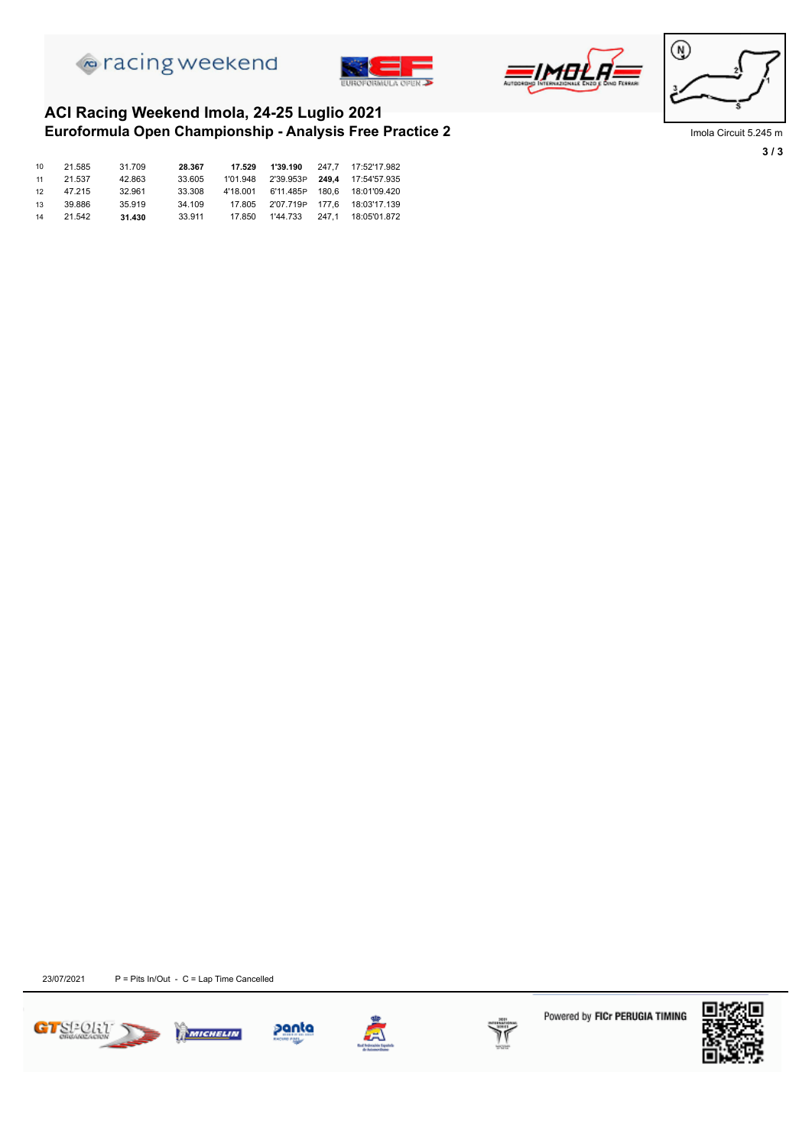







**3 / 3**

#### **Euroformula Open Championship - Analysis Free Practice 2** Imola Circuit 5.245 m **ACI Racing Weekend Imola, 24-25 Luglio 2021**

| 10 | 21.585 | 31.709 | 28.367 | 17.529 | 1'39.190 | 247.7 17:52'17.982                       |
|----|--------|--------|--------|--------|----------|------------------------------------------|
| 11 | 21.537 | 42.863 | 33.605 |        |          | 1'01.948  2'39.953P  249.4  17:54'57.935 |
| 12 | 47.215 | 32.961 | 33,308 |        |          | 4'18.001 6'11.485P 180.6 18:01'09.420    |
| 13 | 39.886 | 35.919 | 34.109 |        |          | 17.805 2'07.719P 177.6 18:03'17.139      |
| 14 | 21.542 | 31.430 | 33.911 | 17.850 | 1'44.733 |                                          |



 $23/07/2021$  P = Pits In/Out - C = Lap Time Cancelled







Powered by FICr PERUGIA TIMING